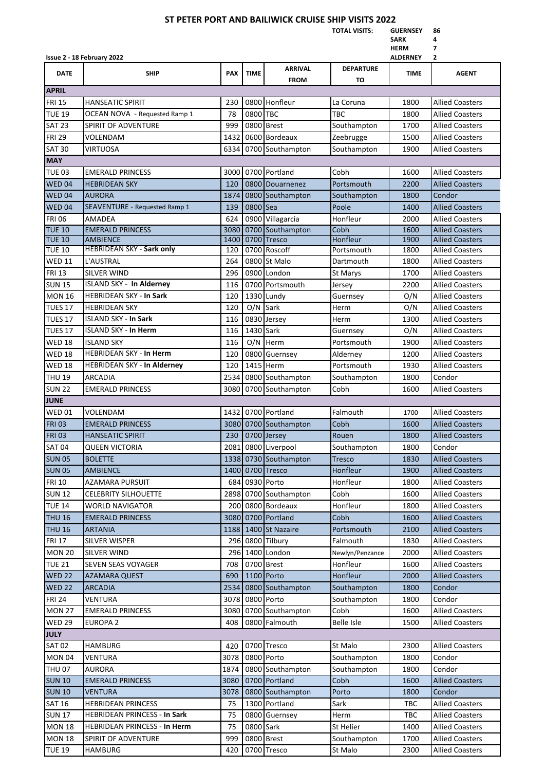## **ST PETER PORT AND BAILIWICK CRUISE SHIP VISITS 2022**

**TOTAL VISITS: GUERNSEY 86**

|                   |                                     |            |             |                               |                        | <b>SARK</b><br><b>HERM</b> | 4<br>7                 |  |  |  |  |  |
|-------------------|-------------------------------------|------------|-------------|-------------------------------|------------------------|----------------------------|------------------------|--|--|--|--|--|
|                   | Issue 2 - 18 February 2022          |            |             |                               |                        | <b>ALDERNEY</b>            | 2                      |  |  |  |  |  |
| <b>DATE</b>       | <b>SHIP</b>                         | <b>PAX</b> | <b>TIME</b> | <b>ARRIVAL</b><br><b>FROM</b> | <b>DEPARTURE</b><br>TO | TIME                       | <b>AGENT</b>           |  |  |  |  |  |
| <b>APRIL</b>      |                                     |            |             |                               |                        |                            |                        |  |  |  |  |  |
| <b>FRI 15</b>     | <b>HANSEATIC SPIRIT</b>             | 230        |             | 0800 Honfleur                 | La Coruna              | 1800                       | <b>Allied Coasters</b> |  |  |  |  |  |
| <b>TUE 19</b>     | OCEAN NOVA - Requested Ramp 1       | 78         | 0800 TBC    |                               | <b>TBC</b>             | 1800                       | <b>Allied Coasters</b> |  |  |  |  |  |
| <b>SAT 23</b>     | <b>SPIRIT OF ADVENTURE</b>          | 999        |             | 0800 Brest                    | Southampton            | 1700                       | <b>Allied Coasters</b> |  |  |  |  |  |
| <b>FRI 29</b>     | VOLENDAM                            | 1432       |             | 0600 Bordeaux                 | Zeebrugge              | 1500                       | <b>Allied Coasters</b> |  |  |  |  |  |
| <b>SAT 30</b>     | VIRTUOSA                            | 6334       |             | 0700 Southampton              | Southampton            | 1900                       | <b>Allied Coasters</b> |  |  |  |  |  |
| <b>MAY</b>        |                                     |            |             |                               |                        |                            |                        |  |  |  |  |  |
| <b>TUE 03</b>     | <b>EMERALD PRINCESS</b>             | 3000       |             | 0700 Portland                 | Cobh                   | 1600                       | <b>Allied Coasters</b> |  |  |  |  |  |
| WED 04            | <b>HEBRIDEAN SKY</b>                | 120        |             | 0800 Douarnenez               | Portsmouth             | 2200                       | <b>Allied Coasters</b> |  |  |  |  |  |
| WED <sub>04</sub> | <b>AURORA</b>                       | 1874       |             | 0800 Southampton              | Southampton            | 1800                       | Condor                 |  |  |  |  |  |
| <b>WED 04</b>     | SEAVENTURE - Requested Ramp 1       | 139        | 0800 Sea    |                               | Poole                  | 1400                       | <b>Allied Coasters</b> |  |  |  |  |  |
| <b>FRI 06</b>     | AMADEA                              | 624        |             | 0900 Villagarcia              | Honfleur               | 2000                       | <b>Allied Coasters</b> |  |  |  |  |  |
| <b>TUE 10</b>     | <b>EMERALD PRINCESS</b>             | 3080       |             | 0700 Southampton              | Cobh                   | 1600                       | <b>Allied Coasters</b> |  |  |  |  |  |
| <b>TUE 10</b>     | <b>AMBIENCE</b>                     | 1400       |             | 0700 Tresco                   | Honfleur               | 1900                       | <b>Allied Coasters</b> |  |  |  |  |  |
| <b>TUE 10</b>     | <b>HEBRIDEAN SKY - Sark only</b>    | 120        |             | 0700 Roscoff                  | Portsmouth             | 1800                       | <b>Allied Coasters</b> |  |  |  |  |  |
| <b>WED 11</b>     | L'AUSTRAL                           | 264        |             | 0800 St Malo                  | Dartmouth              | 1800                       | <b>Allied Coasters</b> |  |  |  |  |  |
| <b>FRI 13</b>     | SILVER WIND                         | 296        |             | 0900 London                   | <b>St Marys</b>        | 1700                       | <b>Allied Coasters</b> |  |  |  |  |  |
| <b>SUN 15</b>     | <b>ISLAND SKY - In Alderney</b>     | 116        |             | 0700 Portsmouth               | Jersey                 | 2200                       | <b>Allied Coasters</b> |  |  |  |  |  |
| <b>MON 16</b>     | <b>HEBRIDEAN SKY - In Sark</b>      | 120        |             | 1330 Lundy                    | Guernsey               | O/N                        | <b>Allied Coasters</b> |  |  |  |  |  |
| <b>TUES 17</b>    | <b>HEBRIDEAN SKY</b>                | 120        | O/N         | Sark                          | Herm                   | O/N                        | <b>Allied Coasters</b> |  |  |  |  |  |
| TUES 17           | <b>ISLAND SKY - In Sark</b>         | 116        |             | 0830 Jersey                   | Herm                   | 1300                       | <b>Allied Coasters</b> |  |  |  |  |  |
| <b>TUES 17</b>    | <b>ISLAND SKY - In Herm</b>         | 116        | 1430 Sark   |                               | Guernsey               | O/N                        | <b>Allied Coasters</b> |  |  |  |  |  |
| <b>WED 18</b>     | ISLAND SKY                          | 116        | O/N         | Herm                          | Portsmouth             | 1900                       | <b>Allied Coasters</b> |  |  |  |  |  |
| <b>WED 18</b>     | HEBRIDEAN SKY - In Herm             | 120        | 0800        | Guernsey                      | Alderney               | 1200                       | <b>Allied Coasters</b> |  |  |  |  |  |
| <b>WED 18</b>     | <b>HEBRIDEAN SKY - In Alderney</b>  | 120        |             | 1415 Herm                     | Portsmouth             | 1930                       | <b>Allied Coasters</b> |  |  |  |  |  |
| <b>THU 19</b>     | <b>ARCADIA</b>                      | 2534       |             | 0800 Southampton              | Southampton            | 1800                       | Condor                 |  |  |  |  |  |
| <b>SUN 22</b>     | <b>EMERALD PRINCESS</b>             | 3080       |             | 0700 Southampton              | Cobh                   | 1600                       | <b>Allied Coasters</b> |  |  |  |  |  |
| <b>JUNE</b>       |                                     |            |             |                               |                        |                            |                        |  |  |  |  |  |
| <b>WED 01</b>     | VOLENDAM                            | 1432       |             | 0700 Portland                 | Falmouth               | 1700                       | <b>Allied Coasters</b> |  |  |  |  |  |
| <b>FRI 03</b>     | <b>EMERALD PRINCESS</b>             |            |             | 3080 0700 Southampton         | Cobh                   | 1600                       | <b>Allied Coasters</b> |  |  |  |  |  |
| <b>FRI 03</b>     | <b>HANSEATIC SPIRIT</b>             |            |             | 230 0700 Jersey               | Rouen                  | 1800                       | <b>Allied Coasters</b> |  |  |  |  |  |
| <b>SAT 04</b>     | <b>QUEEN VICTORIA</b>               |            |             | 2081 0800 Liverpool           | Southampton            | 1800                       | Condor                 |  |  |  |  |  |
| <b>SUN 05</b>     | <b>BOLETTE</b>                      |            |             | 1338 0730 Southampton         | <b>Tresco</b>          | 1830                       | <b>Allied Coasters</b> |  |  |  |  |  |
| <b>SUN 05</b>     | <b>AMBIENCE</b>                     | 1400       |             | 0700 Tresco                   | Honfleur               | 1900                       | <b>Allied Coasters</b> |  |  |  |  |  |
| <b>FRI 10</b>     | AZAMARA PURSUIT                     | 684        |             | 0930 Porto                    | Honfleur               | 1800                       | <b>Allied Coasters</b> |  |  |  |  |  |
| <b>SUN 12</b>     | <b>CELEBRITY SILHOUETTE</b>         | 2898       |             | 0700 Southampton              | Cobh                   | 1600                       | <b>Allied Coasters</b> |  |  |  |  |  |
| <b>TUE 14</b>     | <b>WORLD NAVIGATOR</b>              | 200        |             | 0800 Bordeaux                 | Honfleur               | 1800                       | <b>Allied Coasters</b> |  |  |  |  |  |
| <b>THU 16</b>     | <b>EMERALD PRINCESS</b>             | 3080       |             | 0700 Portland                 | Cobh                   | 1600                       | <b>Allied Coasters</b> |  |  |  |  |  |
| <b>THU 16</b>     | <b>ARTANIA</b>                      | 1188       |             | 1400 St Nazaire               | Portsmouth             | 2100                       | <b>Allied Coasters</b> |  |  |  |  |  |
| <b>FRI 17</b>     | <b>SILVER WISPER</b>                | 296        |             | 0800 Tilbury                  | Falmouth               | 1830                       | <b>Allied Coasters</b> |  |  |  |  |  |
| <b>MON 20</b>     | <b>SILVER WIND</b>                  | 296        |             | 1400 London                   | Newlyn/Penzance        | 2000                       | <b>Allied Coasters</b> |  |  |  |  |  |
| <b>TUE 21</b>     | <b>SEVEN SEAS VOYAGER</b>           | 708        |             | 0700 Brest                    | Honfleur               | 1600                       | <b>Allied Coasters</b> |  |  |  |  |  |
| <b>WED 22</b>     | <b>AZAMARA QUEST</b>                | 690        |             | 1100 Porto                    | Honfleur               | 2000                       | <b>Allied Coasters</b> |  |  |  |  |  |
| <b>WED 22</b>     | <b>ARCADIA</b>                      | 2534       |             | 0800 Southampton              | Southampton            | 1800                       | Condor                 |  |  |  |  |  |
| <b>FRI 24</b>     | VENTURA                             | 3078       |             | 0800 Porto                    | Southampton            | 1800                       | Condor                 |  |  |  |  |  |
| <b>MON 27</b>     | <b>EMERALD PRINCESS</b>             | 3080       |             | 0700 Southampton              | Cobh                   | 1600                       | <b>Allied Coasters</b> |  |  |  |  |  |
| <b>WED 29</b>     | <b>EUROPA 2</b>                     | 408        |             | 0800 Falmouth                 | <b>Belle Isle</b>      | 1500                       | <b>Allied Coasters</b> |  |  |  |  |  |
| <b>JULY</b>       |                                     |            |             |                               |                        |                            |                        |  |  |  |  |  |
| <b>SAT 02</b>     | <b>HAMBURG</b>                      | 420        |             | 0700 Tresco                   | St Malo                | 2300                       | <b>Allied Coasters</b> |  |  |  |  |  |
| <b>MON 04</b>     | VENTURA                             | 3078       |             | 0800 Porto                    | Southampton            | 1800                       | Condor                 |  |  |  |  |  |
| <b>THU 07</b>     | <b>AURORA</b>                       | 1874       |             | 0800 Southampton              | Southampton            | 1800                       | Condor                 |  |  |  |  |  |
| <b>SUN 10</b>     | <b>EMERALD PRINCESS</b>             | 3080       |             | 0700 Portland                 | Cobh                   | 1600                       | <b>Allied Coasters</b> |  |  |  |  |  |
| <b>SUN 10</b>     | VENTURA                             | 3078       |             | 0800 Southampton              | Porto                  | 1800                       | Condor                 |  |  |  |  |  |
| <b>SAT 16</b>     | <b>HEBRIDEAN PRINCESS</b>           | 75         |             | 1300 Portland                 | Sark                   | TBC                        | <b>Allied Coasters</b> |  |  |  |  |  |
| <b>SUN 17</b>     | <b>HEBRIDEAN PRINCESS - In Sark</b> | 75         |             | 0800 Guernsey                 | Herm                   | TBC                        | <b>Allied Coasters</b> |  |  |  |  |  |
| <b>MON 18</b>     | HEBRIDEAN PRINCESS - In Herm        | 75         | 0800 Sark   |                               | <b>St Helier</b>       | 1400                       | <b>Allied Coasters</b> |  |  |  |  |  |
| <b>MON 18</b>     | SPIRIT OF ADVENTURE                 | 999        |             | 0800 Brest                    | Southampton            | 1700                       | <b>Allied Coasters</b> |  |  |  |  |  |
| <b>TUE 19</b>     | <b>HAMBURG</b>                      | 420        |             | 0700 Tresco                   | St Malo                | 2300                       | <b>Allied Coasters</b> |  |  |  |  |  |